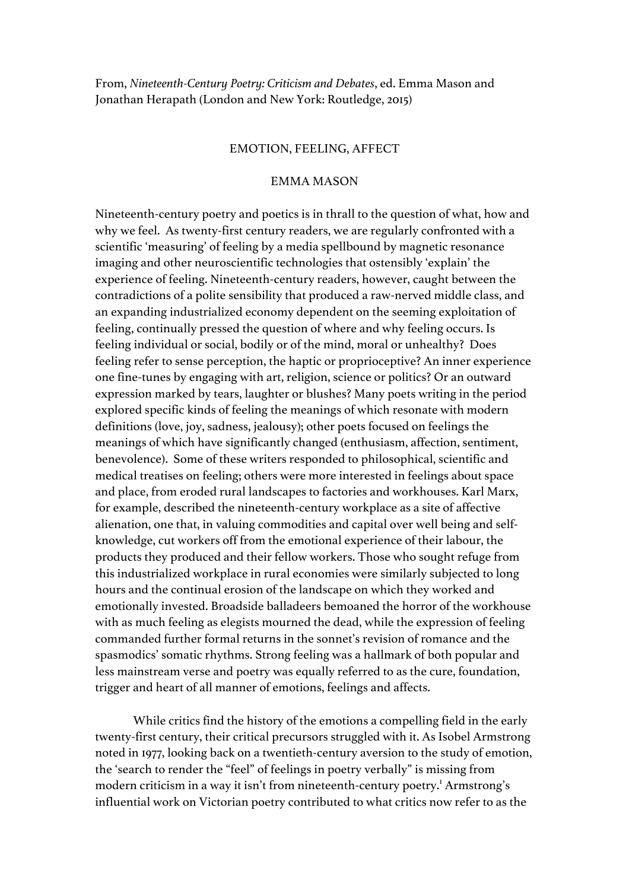From, *Nineteenth-Century Poetry: Criticism and Debates*, ed. Emma Mason and Jonathan Herapath (London and New York: Routledge, 2015)

#### EMOTION, FEELING, AFFECT

# EMMA MASON

Nineteenth-century poetry and poetics is in thrall to the question of what, how and why we feel. As twenty-first century readers, we are regularly confronted with a scientific 'measuring' of feeling by a media spellbound by magnetic resonance imaging and other neuroscientific technologies that ostensibly 'explain' the experience of feeling. Nineteenth-century readers, however, caught between the contradictions of a polite sensibility that produced a raw-nerved middle class, and an expanding industrialized economy dependent on the seeming exploitation of feeling, continually pressed the question of where and why feeling occurs. Is feeling individual or social, bodily or of the mind, moral or unhealthy? Does feeling refer to sense perception, the haptic or proprioceptive? An inner experience one fine-tunes by engaging with art, religion, science or politics? Or an outward expression marked by tears, laughter or blushes? Many poets writing in the period explored specific kinds of feeling the meanings of which resonate with modern definitions (love, joy, sadness, jealousy); other poets focused on feelings the meanings of which have significantly changed (enthusiasm, affection, sentiment, benevolence). Some of these writers responded to philosophical, scientific and medical treatises on feeling; others were more interested in feelings about space and place, from eroded rural landscapes to factories and workhouses. Karl Marx, for example, described the nineteenth-century workplace as a site of affective alienation, one that, in valuing commodities and capital over well being and selfknowledge, cut workers off from the emotional experience of their labour, the products they produced and their fellow workers. Those who sought refuge from this industrialized workplace in rural economies were similarly subjected to long hours and the continual erosion of the landscape on which they worked and emotionally invested. Broadside balladeers bemoaned the horror of the workhouse with as much feeling as elegists mourned the dead, while the expression of feeling commanded further formal returns in the sonnet's revision of romance and the spasmodics' somatic rhythms. Strong feeling was a hallmark of both popular and less mainstream verse and poetry was equally referred to as the cure, foundation, trigger and heart of all manner of emotions, feelings and affects.

While critics find the history of the emotions a compelling field in the early twenty-first century, their critical precursors struggled with it. As Isobel Armstrong noted in 1977, looking back on a twentieth-century aversion to the study of emotion, the 'search to render the "feel" of feelings in poetry verbally" is missing from modern criticism in a way it isn't from nineteenth-century poetry. 1 Armstrong's influential work on Victorian poetry contributed to what critics now refer to as the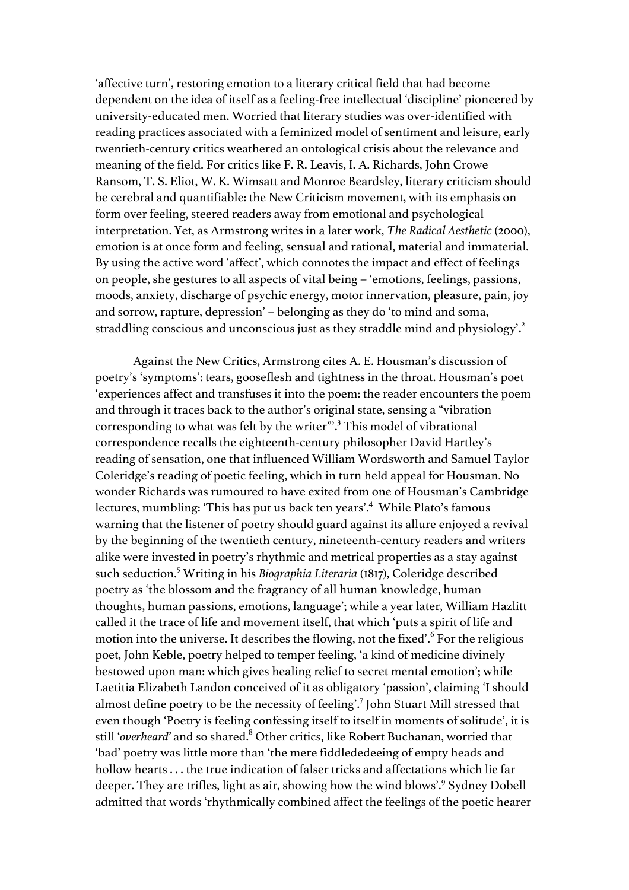'affective turn', restoring emotion to a literary critical field that had become dependent on the idea of itself as a feeling-free intellectual 'discipline' pioneered by university-educated men. Worried that literary studies was over-identified with reading practices associated with a feminized model of sentiment and leisure, early twentieth-century critics weathered an ontological crisis about the relevance and meaning of the field. For critics like F. R. Leavis, I. A. Richards, John Crowe Ransom, T. S. Eliot, W. K. Wimsatt and Monroe Beardsley, literary criticism should be cerebral and quantifiable: the New Criticism movement, with its emphasis on form over feeling, steered readers away from emotional and psychological interpretation. Yet, as Armstrong writes in a later work, *The Radical Aesthetic* (2000), emotion is at once form and feeling, sensual and rational, material and immaterial. By using the active word 'affect', which connotes the impact and effect of feelings on people, she gestures to all aspects of vital being – 'emotions, feelings, passions, moods, anxiety, discharge of psychic energy, motor innervation, pleasure, pain, joy and sorrow, rapture, depression' – belonging as they do 'to mind and soma, straddling conscious and unconscious just as they straddle mind and physiology'.<sup>2</sup>

Against the New Critics, Armstrong cites A. E. Housman's discussion of poetry's 'symptoms': tears, gooseflesh and tightness in the throat. Housman's poet 'experiences affect and transfuses it into the poem: the reader encounters the poem and through it traces back to the author's original state, sensing a "vibration corresponding to what was felt by the writer"'.<sup>3</sup> This model of vibrational correspondence recalls the eighteenth-century philosopher David Hartley's reading of sensation, one that influenced William Wordsworth and Samuel Taylor Coleridge's reading of poetic feeling, which in turn held appeal for Housman. No wonder Richards was rumoured to have exited from one of Housman's Cambridge lectures, mumbling: 'This has put us back ten years'.<sup>4</sup> While Plato's famous warning that the listener of poetry should guard against its allure enjoyed a revival by the beginning of the twentieth century, nineteenth-century readers and writers alike were invested in poetry's rhythmic and metrical properties as a stay against such seduction. <sup>5</sup> Writing in his *Biographia Literaria* (1817), Coleridge described poetry as 'the blossom and the fragrancy of all human knowledge, human thoughts, human passions, emotions, language'; while a year later, William Hazlitt called it the trace of life and movement itself, that which 'puts a spirit of life and motion into the universe. It describes the flowing, not the fixed'. <sup>6</sup> For the religious poet, John Keble, poetry helped to temper feeling, 'a kind of medicine divinely bestowed upon man: which gives healing relief to secret mental emotion'; while Laetitia Elizabeth Landon conceived of it as obligatory 'passion', claiming 'I should almost define poetry to be the necessity of feeling'.<sup>7</sup> John Stuart Mill stressed that even though 'Poetry is feeling confessing itself to itself in moments of solitude', it is still '*overheard'* and so shared. <sup>8</sup> Other critics, like Robert Buchanan, worried that 'bad' poetry was little more than 'the mere fiddlededeeing of empty heads and hollow hearts . . . the true indication of falser tricks and affectations which lie far deeper. They are trifles, light as air, showing how the wind blows'.<sup>9</sup> Sydney Dobell admitted that words 'rhythmically combined affect the feelings of the poetic hearer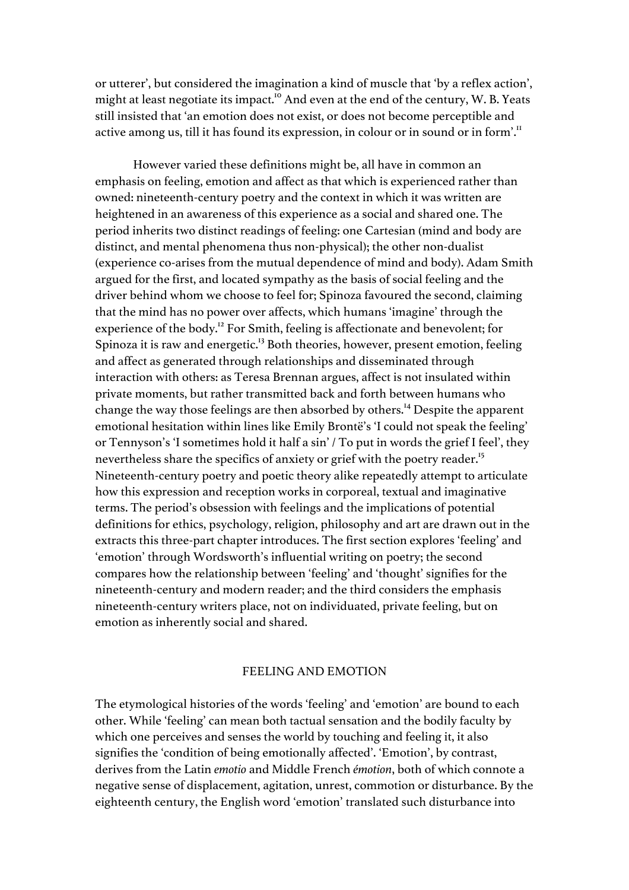or utterer', but considered the imagination a kind of muscle that 'by a reflex action', might at least negotiate its impact.<sup>10</sup> And even at the end of the century, W. B. Yeats still insisted that 'an emotion does not exist, or does not become perceptible and active among us, till it has found its expression, in colour or in sound or in form'.<sup>11</sup>

However varied these definitions might be, all have in common an emphasis on feeling, emotion and affect as that which is experienced rather than owned: nineteenth-century poetry and the context in which it was written are heightened in an awareness of this experience as a social and shared one. The period inherits two distinct readings of feeling: one Cartesian (mind and body are distinct, and mental phenomena thus non-physical); the other non-dualist (experience co-arises from the mutual dependence of mind and body). Adam Smith argued for the first, and located sympathy as the basis of social feeling and the driver behind whom we choose to feel for; Spinoza favoured the second, claiming that the mind has no power over affects, which humans 'imagine' through the experience of the body.<sup>12</sup> For Smith, feeling is affectionate and benevolent; for Spinoza it is raw and energetic.<sup>13</sup> Both theories, however, present emotion, feeling and affect as generated through relationships and disseminated through interaction with others: as Teresa Brennan argues, affect is not insulated within private moments, but rather transmitted back and forth between humans who change the way those feelings are then absorbed by others.<sup>14</sup> Despite the apparent emotional hesitation within lines like Emily Brontë's 'I could not speak the feeling' or Tennyson's 'I sometimes hold it half a sin' / To put in words the grief I feel', they nevertheless share the specifics of anxiety or grief with the poetry reader.<sup>15</sup> Nineteenth-century poetry and poetic theory alike repeatedly attempt to articulate how this expression and reception works in corporeal, textual and imaginative terms. The period's obsession with feelings and the implications of potential definitions for ethics, psychology, religion, philosophy and art are drawn out in the extracts this three-part chapter introduces. The first section explores 'feeling' and 'emotion' through Wordsworth's influential writing on poetry; the second compares how the relationship between 'feeling' and 'thought' signifies for the nineteenth-century and modern reader; and the third considers the emphasis nineteenth-century writers place, not on individuated, private feeling, but on emotion as inherently social and shared.

# FEELING AND EMOTION

The etymological histories of the words 'feeling' and 'emotion' are bound to each other. While 'feeling' can mean both tactual sensation and the bodily faculty by which one perceives and senses the world by touching and feeling it, it also signifies the 'condition of being emotionally affected'. 'Emotion', by contrast, derives from the Latin *emotio* and Middle French *émotion*, both of which connote a negative sense of displacement, agitation, unrest, commotion or disturbance. By the eighteenth century, the English word 'emotion' translated such disturbance into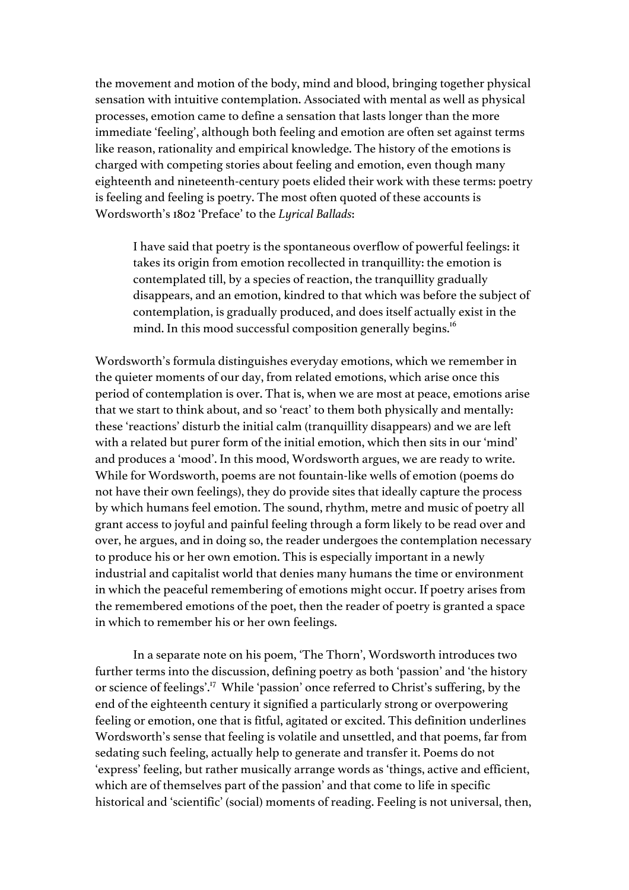the movement and motion of the body, mind and blood, bringing together physical sensation with intuitive contemplation. Associated with mental as well as physical processes, emotion came to define a sensation that lasts longer than the more immediate 'feeling', although both feeling and emotion are often set against terms like reason, rationality and empirical knowledge. The history of the emotions is charged with competing stories about feeling and emotion, even though many eighteenth and nineteenth-century poets elided their work with these terms: poetry is feeling and feeling is poetry. The most often quoted of these accounts is Wordsworth's 1802 'Preface' to the *Lyrical Ballads*:

I have said that poetry is the spontaneous overflow of powerful feelings: it takes its origin from emotion recollected in tranquillity: the emotion is contemplated till, by a species of reaction, the tranquillity gradually disappears, and an emotion, kindred to that which was before the subject of contemplation, is gradually produced, and does itself actually exist in the mind. In this mood successful composition generally begins.<sup>16</sup>

Wordsworth's formula distinguishes everyday emotions, which we remember in the quieter moments of our day, from related emotions, which arise once this period of contemplation is over. That is, when we are most at peace, emotions arise that we start to think about, and so 'react' to them both physically and mentally: these 'reactions' disturb the initial calm (tranquillity disappears) and we are left with a related but purer form of the initial emotion, which then sits in our 'mind' and produces a 'mood'. In this mood, Wordsworth argues, we are ready to write. While for Wordsworth, poems are not fountain-like wells of emotion (poems do not have their own feelings), they do provide sites that ideally capture the process by which humans feel emotion. The sound, rhythm, metre and music of poetry all grant access to joyful and painful feeling through a form likely to be read over and over, he argues, and in doing so, the reader undergoes the contemplation necessary to produce his or her own emotion. This is especially important in a newly industrial and capitalist world that denies many humans the time or environment in which the peaceful remembering of emotions might occur. If poetry arises from the remembered emotions of the poet, then the reader of poetry is granted a space in which to remember his or her own feelings.

In a separate note on his poem, 'The Thorn', Wordsworth introduces two further terms into the discussion, defining poetry as both 'passion' and 'the history or science of feelings'.17 While 'passion' once referred to Christ's suffering, by the end of the eighteenth century it signified a particularly strong or overpowering feeling or emotion, one that is fitful, agitated or excited. This definition underlines Wordsworth's sense that feeling is volatile and unsettled, and that poems, far from sedating such feeling, actually help to generate and transfer it. Poems do not 'express' feeling, but rather musically arrange words as 'things, active and efficient, which are of themselves part of the passion' and that come to life in specific historical and 'scientific' (social) moments of reading. Feeling is not universal, then,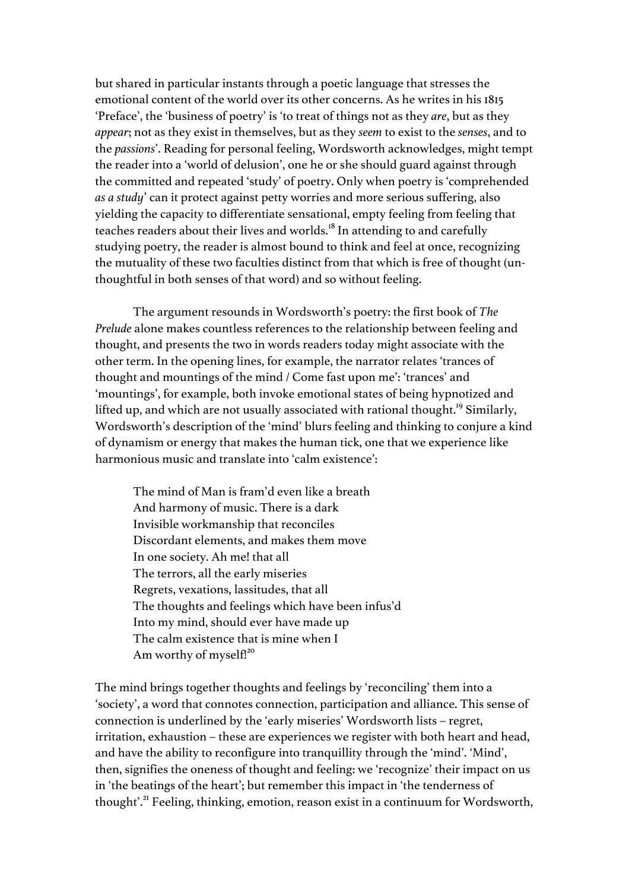but shared in particular instants through a poetic language that stresses the emotional content of the world over its other concerns. As he writes in his 1815 'Preface', the 'business of poetry' is 'to treat of things not as they *are*, but as they *appear*; not as they exist in themselves, but as they *seem* to exist to the *senses*, and to the *passions*'. Reading for personal feeling, Wordsworth acknowledges, might tempt the reader into a 'world of delusion', one he or she should guard against through the committed and repeated 'study' of poetry. Only when poetry is 'comprehended *as a study*' can it protect against petty worries and more serious suffering, also yielding the capacity to differentiate sensational, empty feeling from feeling that teaches readers about their lives and worlds.<sup>18</sup> In attending to and carefully studying poetry, the reader is almost bound to think and feel at once, recognizing the mutuality of these two faculties distinct from that which is free of thought (unthoughtful in both senses of that word) and so without feeling.

The argument resounds in Wordsworth's poetry: the first book of *The Prelude* alone makes countless references to the relationship between feeling and thought, and presents the two in words readers today might associate with the other term. In the opening lines, for example, the narrator relates 'trances of thought and mountings of the mind / Come fast upon me': 'trances' and 'mountings', for example, both invoke emotional states of being hypnotized and lifted up, and which are not usually associated with rational thought.<sup>19</sup> Similarly, Wordsworth's description of the 'mind' blurs feeling and thinking to conjure a kind of dynamism or energy that makes the human tick, one that we experience like harmonious music and translate into 'calm existence':

The mind of Man is fram'd even like a breath And harmony of music. There is a dark Invisible workmanship that reconciles Discordant elements, and makes them move In one society. Ah me! that all The terrors, all the early miseries Regrets, vexations, lassitudes, that all The thoughts and feelings which have been infus'd Into my mind, should ever have made up The calm existence that is mine when I Am worthy of myself!<sup>20</sup>

The mind brings together thoughts and feelings by 'reconciling' them into a 'society', a word that connotes connection, participation and alliance. This sense of connection is underlined by the 'early miseries' Wordsworth lists – regret, irritation, exhaustion – these are experiences we register with both heart and head, and have the ability to reconfigure into tranquillity through the 'mind'. 'Mind', then, signifies the oneness of thought and feeling: we 'recognize' their impact on us in 'the beatings of the heart'; but remember this impact in 'the tenderness of thought'.<sup>21</sup> Feeling, thinking, emotion, reason exist in a continuum for Wordsworth,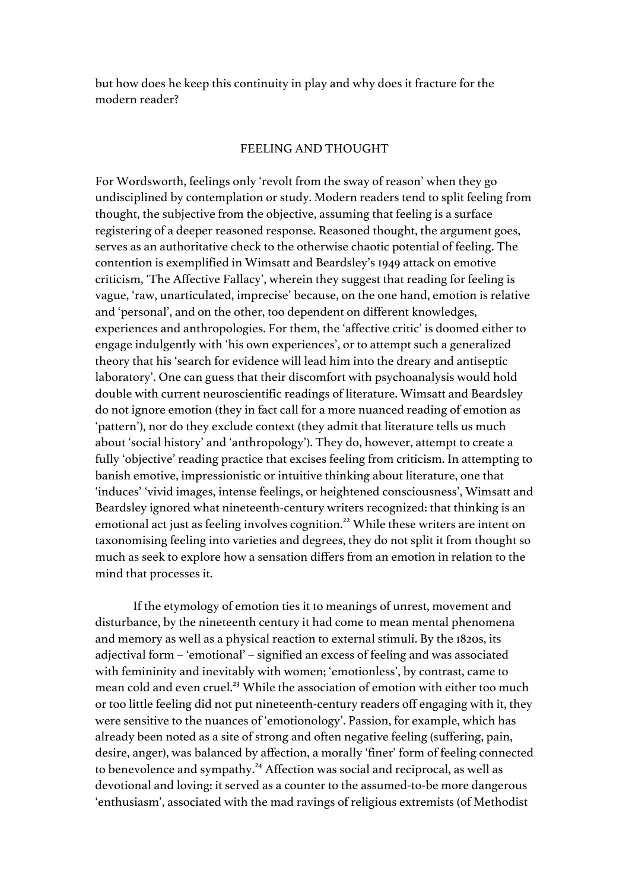but how does he keep this continuity in play and why does it fracture for the modern reader?

# FEELING AND THOUGHT

For Wordsworth, feelings only 'revolt from the sway of reason' when they go undisciplined by contemplation or study. Modern readers tend to split feeling from thought, the subjective from the objective, assuming that feeling is a surface registering of a deeper reasoned response. Reasoned thought, the argument goes, serves as an authoritative check to the otherwise chaotic potential of feeling. The contention is exemplified in Wimsatt and Beardsley's 1949 attack on emotive criticism, 'The Affective Fallacy', wherein they suggest that reading for feeling is vague, 'raw, unarticulated, imprecise' because, on the one hand, emotion is relative and 'personal', and on the other, too dependent on different knowledges, experiences and anthropologies. For them, the 'affective critic' is doomed either to engage indulgently with 'his own experiences', or to attempt such a generalized theory that his 'search for evidence will lead him into the dreary and antiseptic laboratory'. One can guess that their discomfort with psychoanalysis would hold double with current neuroscientific readings of literature. Wimsatt and Beardsley do not ignore emotion (they in fact call for a more nuanced reading of emotion as 'pattern'), nor do they exclude context (they admit that literature tells us much about 'social history' and 'anthropology'). They do, however, attempt to create a fully 'objective' reading practice that excises feeling from criticism. In attempting to banish emotive, impressionistic or intuitive thinking about literature, one that 'induces' 'vivid images, intense feelings, or heightened consciousness', Wimsatt and Beardsley ignored what nineteenth-century writers recognized: that thinking is an emotional act just as feeling involves cognition.<sup>22</sup> While these writers are intent on taxonomising feeling into varieties and degrees, they do not split it from thought so much as seek to explore how a sensation differs from an emotion in relation to the mind that processes it.

If the etymology of emotion ties it to meanings of unrest, movement and disturbance, by the nineteenth century it had come to mean mental phenomena and memory as well as a physical reaction to external stimuli. By the 1820s, its adjectival form – 'emotional' – signified an excess of feeling and was associated with femininity and inevitably with women; 'emotionless', by contrast, came to mean cold and even cruel.<sup>23</sup> While the association of emotion with either too much or too little feeling did not put nineteenth-century readers off engaging with it, they were sensitive to the nuances of 'emotionology'. Passion, for example, which has already been noted as a site of strong and often negative feeling (suffering, pain, desire, anger), was balanced by affection, a morally 'finer' form of feeling connected to benevolence and sympathy.<sup>24</sup> Affection was social and reciprocal, as well as devotional and loving: it served as a counter to the assumed-to-be more dangerous 'enthusiasm', associated with the mad ravings of religious extremists (of Methodist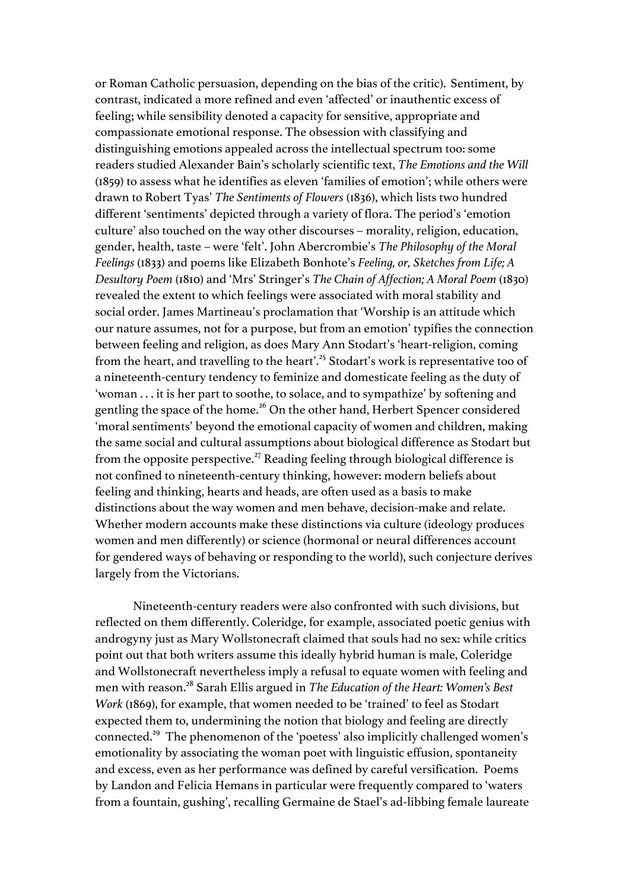or Roman Catholic persuasion, depending on the bias of the critic). Sentiment, by contrast, indicated a more refined and even 'affected' or inauthentic excess of feeling; while sensibility denoted a capacity for sensitive, appropriate and compassionate emotional response. The obsession with classifying and distinguishing emotions appealed across the intellectual spectrum too: some readers studied Alexander Bain's scholarly scientific text, *The Emotions and the Will*  (1859) to assess what he identifies as eleven 'families of emotion'; while others were drawn to Robert Tyas' *The Sentiments of Flowers* (1836), which lists two hundred different 'sentiments' depicted through a variety of flora. The period's 'emotion culture' also touched on the way other discourses – morality, religion, education, gender, health, taste – were 'felt'. John Abercrombie's *The Philosophy of the Moral Feelings* (1833) and poems like Elizabeth Bonhote's *Feeling, or, Sketches from Life; A Desultory Poem* (1810) and 'Mrs' Stringer's *The Chain of Affection; A Moral Poem* (1830) revealed the extent to which feelings were associated with moral stability and social order. James Martineau's proclamation that 'Worship is an attitude which our nature assumes, not for a purpose, but from an emotion' typifies the connection between feeling and religion, as does Mary Ann Stodart's 'heart-religion, coming from the heart, and travelling to the heart'.<sup>25</sup> Stodart's work is representative too of a nineteenth-century tendency to feminize and domesticate feeling as the duty of 'woman . . . it is her part to soothe, to solace, and to sympathize' by softening and gentling the space of the home.<sup>26</sup> On the other hand, Herbert Spencer considered 'moral sentiments' beyond the emotional capacity of women and children, making the same social and cultural assumptions about biological difference as Stodart but from the opposite perspective.<sup>27</sup> Reading feeling through biological difference is not confined to nineteenth-century thinking, however: modern beliefs about feeling and thinking, hearts and heads, are often used as a basis to make distinctions about the way women and men behave, decision-make and relate. Whether modern accounts make these distinctions via culture (ideology produces women and men differently) or science (hormonal or neural differences account for gendered ways of behaving or responding to the world), such conjecture derives largely from the Victorians.

Nineteenth-century readers were also confronted with such divisions, but reflected on them differently. Coleridge, for example, associated poetic genius with androgyny just as Mary Wollstonecraft claimed that souls had no sex: while critics point out that both writers assume this ideally hybrid human is male, Coleridge and Wollstonecraft nevertheless imply a refusal to equate women with feeling and men with reason.<sup>28</sup> Sarah Ellis argued in *The Education of the Heart: Women's Best Work* (1869), for example, that women needed to be 'trained' to feel as Stodart expected them to, undermining the notion that biology and feeling are directly connected.29 The phenomenon of the 'poetess' also implicitly challenged women's emotionality by associating the woman poet with linguistic effusion, spontaneity and excess, even as her performance was defined by careful versification. Poems by Landon and Felicia Hemans in particular were frequently compared to 'waters from a fountain, gushing', recalling Germaine de Stael's ad-libbing female laureate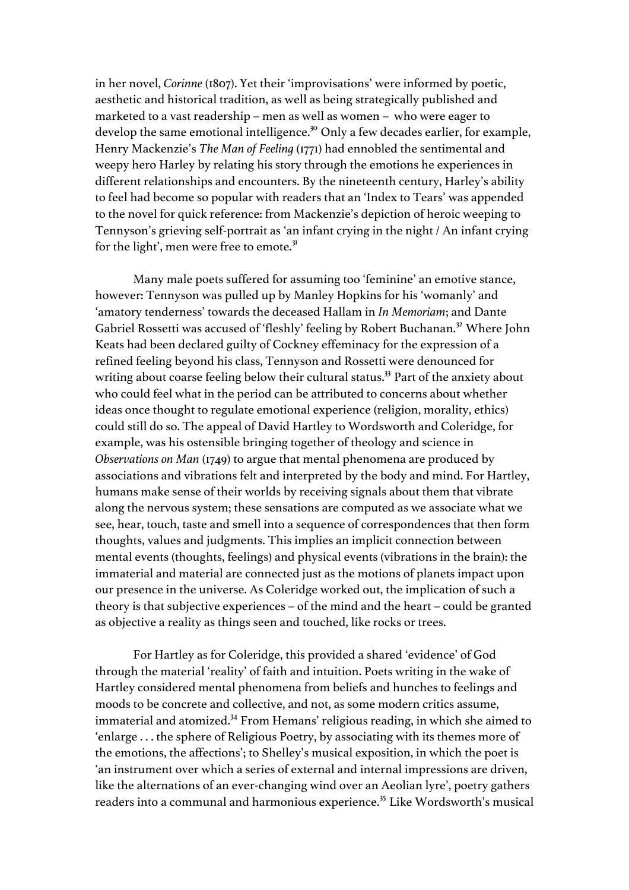in her novel, *Corinne* (1807). Yet their 'improvisations' were informed by poetic, aesthetic and historical tradition, as well as being strategically published and marketed to a vast readership – men as well as women – who were eager to develop the same emotional intelligence.<sup>30</sup> Only a few decades earlier, for example, Henry Mackenzie's *The Man of Feeling* (1771) had ennobled the sentimental and weepy hero Harley by relating his story through the emotions he experiences in different relationships and encounters. By the nineteenth century, Harley's ability to feel had become so popular with readers that an 'Index to Tears' was appended to the novel for quick reference: from Mackenzie's depiction of heroic weeping to Tennyson's grieving self-portrait as 'an infant crying in the night / An infant crying for the light', men were free to emote.<sup>31</sup>

Many male poets suffered for assuming too 'feminine' an emotive stance, however: Tennyson was pulled up by Manley Hopkins for his 'womanly' and 'amatory tenderness' towards the deceased Hallam in *In Memoriam*; and Dante Gabriel Rossetti was accused of 'fleshly' feeling by Robert Buchanan.<sup>32</sup> Where John Keats had been declared guilty of Cockney effeminacy for the expression of a refined feeling beyond his class, Tennyson and Rossetti were denounced for writing about coarse feeling below their cultural status.<sup>33</sup> Part of the anxiety about who could feel what in the period can be attributed to concerns about whether ideas once thought to regulate emotional experience (religion, morality, ethics) could still do so. The appeal of David Hartley to Wordsworth and Coleridge, for example, was his ostensible bringing together of theology and science in *Observations on Man* (1749) to argue that mental phenomena are produced by associations and vibrations felt and interpreted by the body and mind. For Hartley, humans make sense of their worlds by receiving signals about them that vibrate along the nervous system; these sensations are computed as we associate what we see, hear, touch, taste and smell into a sequence of correspondences that then form thoughts, values and judgments. This implies an implicit connection between mental events (thoughts, feelings) and physical events (vibrations in the brain): the immaterial and material are connected just as the motions of planets impact upon our presence in the universe. As Coleridge worked out, the implication of such a theory is that subjective experiences – of the mind and the heart – could be granted as objective a reality as things seen and touched, like rocks or trees.

For Hartley as for Coleridge, this provided a shared 'evidence' of God through the material 'reality' of faith and intuition. Poets writing in the wake of Hartley considered mental phenomena from beliefs and hunches to feelings and moods to be concrete and collective, and not, as some modern critics assume, immaterial and atomized.<sup>34</sup> From Hemans' religious reading, in which she aimed to 'enlarge . . . the sphere of Religious Poetry, by associating with its themes more of the emotions, the affections'; to Shelley's musical exposition, in which the poet is 'an instrument over which a series of external and internal impressions are driven, like the alternations of an ever-changing wind over an Aeolian lyre', poetry gathers readers into a communal and harmonious experience.<sup>35</sup> Like Wordsworth's musical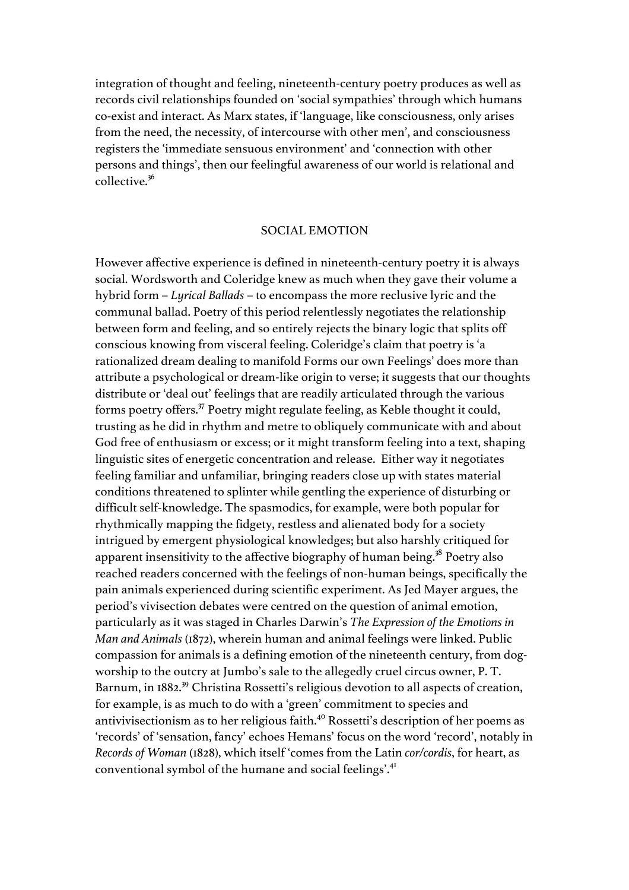integration of thought and feeling, nineteenth-century poetry produces as well as records civil relationships founded on 'social sympathies' through which humans co-exist and interact. As Marx states, if 'language, like consciousness, only arises from the need, the necessity, of intercourse with other men', and consciousness registers the 'immediate sensuous environment' and 'connection with other persons and things', then our feelingful awareness of our world is relational and collective.36

#### SOCIAL EMOTION

However affective experience is defined in nineteenth-century poetry it is always social. Wordsworth and Coleridge knew as much when they gave their volume a hybrid form – *Lyrical Ballads* – to encompass the more reclusive lyric and the communal ballad. Poetry of this period relentlessly negotiates the relationship between form and feeling, and so entirely rejects the binary logic that splits off conscious knowing from visceral feeling. Coleridge's claim that poetry is 'a rationalized dream dealing to manifold Forms our own Feelings' does more than attribute a psychological or dream-like origin to verse; it suggests that our thoughts distribute or 'deal out' feelings that are readily articulated through the various forms poetry offers.37 Poetry might regulate feeling, as Keble thought it could, trusting as he did in rhythm and metre to obliquely communicate with and about God free of enthusiasm or excess; or it might transform feeling into a text, shaping linguistic sites of energetic concentration and release. Either way it negotiates feeling familiar and unfamiliar, bringing readers close up with states material conditions threatened to splinter while gentling the experience of disturbing or difficult self-knowledge. The spasmodics, for example, were both popular for rhythmically mapping the fidgety, restless and alienated body for a society intrigued by emergent physiological knowledges; but also harshly critiqued for apparent insensitivity to the affective biography of human being.<sup>38</sup> Poetry also reached readers concerned with the feelings of non-human beings, specifically the pain animals experienced during scientific experiment. As Jed Mayer argues, the period's vivisection debates were centred on the question of animal emotion, particularly as it was staged in Charles Darwin's *The Expression of the Emotions in Man and Animals* (1872), wherein human and animal feelings were linked. Public compassion for animals is a defining emotion of the nineteenth century, from dogworship to the outcry at Jumbo's sale to the allegedly cruel circus owner, P. T. Barnum, in 1882.<sup>39</sup> Christina Rossetti's religious devotion to all aspects of creation, for example, is as much to do with a 'green' commitment to species and antivivisectionism as to her religious faith.<sup>40</sup> Rossetti's description of her poems as 'records' of 'sensation, fancy' echoes Hemans' focus on the word 'record', notably in *Records of Woman* (1828), which itself 'comes from the Latin *cor/cordis*, for heart, as conventional symbol of the humane and social feelings'.<sup>41</sup>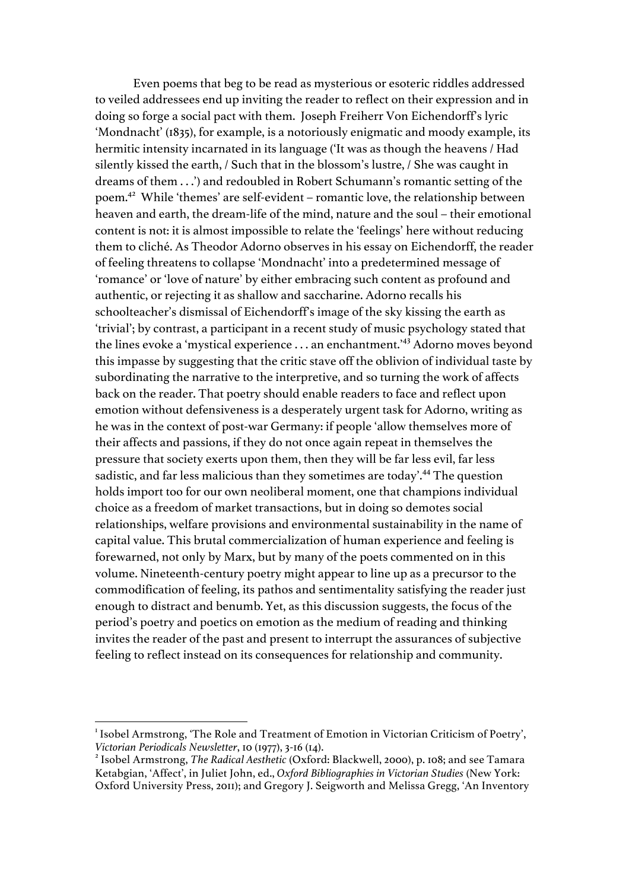Even poems that beg to be read as mysterious or esoteric riddles addressed to veiled addressees end up inviting the reader to reflect on their expression and in doing so forge a social pact with them. Joseph Freiherr Von Eichendorff's lyric 'Mondnacht' (1835), for example, is a notoriously enigmatic and moody example, its hermitic intensity incarnated in its language ('It was as though the heavens / Had silently kissed the earth, / Such that in the blossom's lustre, / She was caught in dreams of them . . .') and redoubled in Robert Schumann's romantic setting of the poem. <sup>42</sup> While 'themes' are self-evident – romantic love, the relationship between heaven and earth, the dream-life of the mind, nature and the soul – their emotional content is not: it is almost impossible to relate the 'feelings' here without reducing them to cliché. As Theodor Adorno observes in his essay on Eichendorff, the reader of feeling threatens to collapse 'Mondnacht' into a predetermined message of 'romance' or 'love of nature' by either embracing such content as profound and authentic, or rejecting it as shallow and saccharine. Adorno recalls his schoolteacher's dismissal of Eichendorff's image of the sky kissing the earth as 'trivial'; by contrast, a participant in a recent study of music psychology stated that the lines evoke a 'mystical experience . . . an enchantment.'<sup>43</sup> Adorno moves beyond this impasse by suggesting that the critic stave off the oblivion of individual taste by subordinating the narrative to the interpretive, and so turning the work of affects back on the reader. That poetry should enable readers to face and reflect upon emotion without defensiveness is a desperately urgent task for Adorno, writing as he was in the context of post-war Germany: if people 'allow themselves more of their affects and passions, if they do not once again repeat in themselves the pressure that society exerts upon them, then they will be far less evil, far less sadistic, and far less malicious than they sometimes are today'.<sup>44</sup> The question holds import too for our own neoliberal moment, one that champions individual choice as a freedom of market transactions, but in doing so demotes social relationships, welfare provisions and environmental sustainability in the name of capital value. This brutal commercialization of human experience and feeling is forewarned, not only by Marx, but by many of the poets commented on in this volume. Nineteenth-century poetry might appear to line up as a precursor to the commodification of feeling, its pathos and sentimentality satisfying the reader just enough to distract and benumb. Yet, as this discussion suggests, the focus of the period's poetry and poetics on emotion as the medium of reading and thinking invites the reader of the past and present to interrupt the assurances of subjective feeling to reflect instead on its consequences for relationship and community.

 <sup>1</sup> Isobel Armstrong, 'The Role and Treatment of Emotion in Victorian Criticism of Poetry', *Victorian Periodicals Newsletter*, 10 (1977), 3-16 (14).<br><sup>2</sup> Isobel Armstrong, *The Radical Aesthetic* (Oxford: Blackwell, 2000), p. 108; and see Tamara

Ketabgian, 'Affect', in Juliet John, ed., *Oxford Bibliographies in Victorian Studies* (New York: Oxford University Press, 2011); and Gregory J. Seigworth and Melissa Gregg, 'An Inventory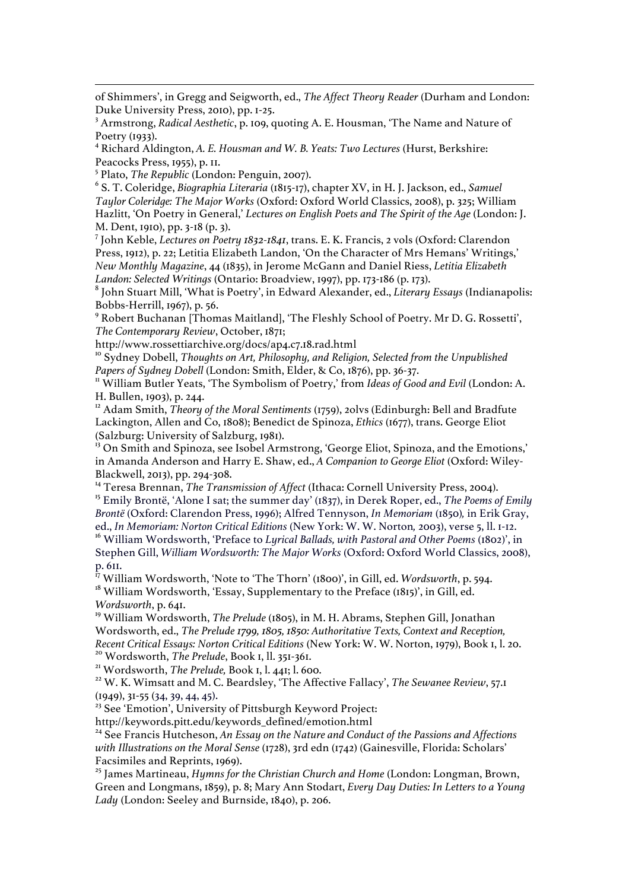<u> 1989 - Johann Stoff, fransk kongresu i september og den som forskeller og den som forskeller og den som fors</u> of Shimmers', in Gregg and Seigworth, ed., *The Affect Theory Reader* (Durham and London: Duke University Press, 2010), pp. 1-25.

<sup>3</sup> Armstrong, *Radical Aesthetic*, p. 109, quoting A. E. Housman, 'The Name and Nature of Poetry (1933).

<sup>4</sup> Richard Aldington, *A. E. Housman and W. B. Yeats: Two Lectures* (Hurst, Berkshire: Peacocks Press, 1955), p. 11.

<sup>5</sup> Plato, *The Republic* (London: Penguin, 2007).

<sup>6</sup> S. T. Coleridge, *Biographia Literaria* (1815-17), chapter XV, in H. J. Jackson, ed., *Samuel Taylor Coleridge: The Major Works* (Oxford: Oxford World Classics, 2008), p. 325; William Hazlitt, 'On Poetry in General,' *Lectures on English Poets and The Spirit of the Age* (London: J. M. Dent, 1910), pp. 3-18 (p. 3).

<sup>7</sup> John Keble, *Lectures on Poetry 1832-1841*, trans. E. K. Francis, 2 vols (Oxford: Clarendon Press, 1912), p. 22; Letitia Elizabeth Landon, 'On the Character of Mrs Hemans' Writings,' *New Monthly Magazine*, 44 (1835), in Jerome McGann and Daniel Riess, *Letitia Elizabeth* 

<sup>8</sup> John Stuart Mill, 'What is Poetry', in Edward Alexander, ed., *Literary Essays (Indianapolis: Bobbs-Herrill, 1967)*, p. 56.

<sup>9</sup> Robert Buchanan [Thomas Maitland], 'The Fleshly School of Poetry. Mr D. G. Rossetti', *The Contemporary Review*, October, 1871;

http://www.rossettiarchive.org/docs/ap4.c7.18.rad.html

<sup>10</sup> Sydney Dobell, *Thoughts on Art, Philosophy, and Religion, Selected from the Unpublished* 

*Papers of Sydney Dobell* (London: Smith, Elder, & Co, 1876), pp. 36-37.<br><sup>11</sup> William Butler Yeats, 'The Symbolism of Poetry,' from *Ideas of Good and Evil* (London: A. H. Bullen, 1903), p. 244.

<sup>12</sup> Adam Smith, *Theory of the Moral Sentiments* (1759), 20lys (Edinburgh: Bell and Bradfute Lackington, Allen and Co, 1808); Benedict de Spinoza, *Ethics* (1677), trans. George Eliot (Salzburg: University of Salzburg, 1981).

<sup>13</sup> On Smith and Spinoza, see Isobel Armstrong, 'George Eliot, Spinoza, and the Emotions,' in Amanda Anderson and Harry E. Shaw, ed., *A Companion to George Eliot* (Oxford: Wiley-Blackwell, 2013), pp. 294-308. <sup>14</sup> Teresa Brennan, *The Transmission of Affect* (Ithaca: Cornell University Press, 2004).

<sup>15</sup> Emily Brontë, 'Alone I sat; the summer day' (1837), in Derek Roper, ed., *The Poems of Emily Brontë* (Oxford: Clarendon Press, 1996); Alfred Tennyson, *In Memoriam* (1850)*,* in Erik Gray, ed., *In Memoriam: Norton Critical Editions* (New York: W. W. Norton*,* 2003), verse 5, ll. 1-12. <sup>16</sup> William Wordsworth, 'Preface to *Lyrical Ballads, with Pastoral and Other Poems* (1802)', in

Stephen Gill, *William Wordsworth: The Major Works* (Oxford: Oxford World Classics, 2008), p. 611.

<sup>î7</sup> William Wordsworth, 'Note to 'The Thorn' (1800)', in Gill, ed. *Wordsworth*, p. 594.<br><sup>18</sup> William Wordsworth, 'Essay, Supplementary to the Preface (1815)', in Gill, ed.

*Wordsworth*, p. 641.

<sup>19</sup> William Wordsworth, *The Prelude* (1805), in M. H. Abrams, Stephen Gill, Jonathan Wordsworth, ed., *The Prelude 1799, 1805, 1850: Authoritative Texts, Context and Reception,*  Recent Critical Essays: Norton Critical Editions (New York: W. W. Norton, 1979), Book 1, l. 20.<br><sup>20</sup> Wordsworth, *The Prelude*, Book 1, ll. 351-361.<br><sup>21</sup> Wordsworth, *The Prelude*, Book 1, l. 441; l. 600.<br><sup>22</sup> W. K. Wimsat

(1949), 31-55 (34, 39, 44, 45).

<sup>23</sup> See 'Emotion', University of Pittsburgh Keyword Project:

http://keywords.pitt.edu/keywords\_defined/emotion.html

<sup>24</sup> See Francis Hutcheson, An Essay on the Nature and Conduct of the Passions and Affections *with Illustrations on the Moral Sense* (1728), 3rd edn (1742) (Gainesville, Florida: Scholars' Facsimiles and Reprints, 1969).

<sup>25</sup> James Martineau, *Hymns for the Christian Church and Home* (London: Longman, Brown, Green and Longmans, 1859), p. 8; Mary Ann Stodart, *Every Day Duties: In Letters to a Young Lady* (London: Seeley and Burnside, 1840), p. 206.